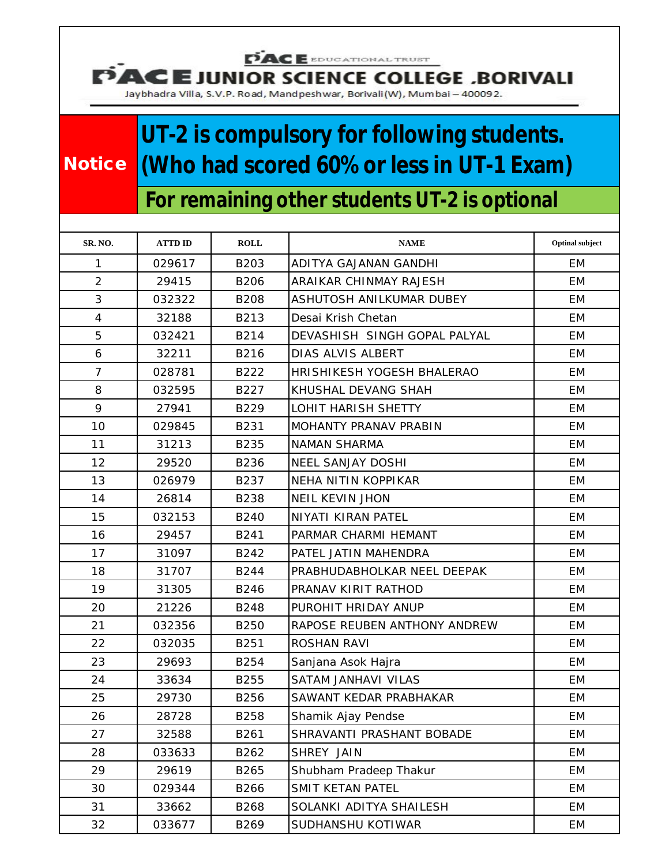**PACE** EDUCATIONAL TRUST

**UNIOR SCIENCE COLLEGE , BORIVALI** n

Jaybhadra Villa, S.V.P. Road, Mandpeshwar, Borivali(W), Mumbai - 400092.

## **UT-2 is compulsory for following students. Notice (Who had scored 60% or less in UT-1 Exam)**

## **For remaining other students UT-2 is optional**

| SR. NO.         | <b>ATTD ID</b> | <b>ROLL</b> | <b>NAME</b>                  | <b>Optinal subject</b> |
|-----------------|----------------|-------------|------------------------------|------------------------|
| 1               | 029617         | B203        | ADITYA GAJANAN GANDHI        | EM                     |
| $\overline{2}$  | 29415          | <b>B206</b> | ARAIKAR CHINMAY RAJESH       | <b>EM</b>              |
| 3               | 032322         | <b>B208</b> | ASHUTOSH ANILKUMAR DUBEY     | EM                     |
| $\overline{4}$  | 32188          | B213        | Desai Krish Chetan           | <b>EM</b>              |
| 5               | 032421         | B214        | DEVASHISH SINGH GOPAL PALYAL | EM                     |
| 6               | 32211          | B216        | DIAS ALVIS ALBERT            | EM                     |
| $\overline{7}$  | 028781         | B222        | HRISHIKESH YOGESH BHALERAO   | EM                     |
| 8               | 032595         | B227        | KHUSHAL DEVANG SHAH          | <b>EM</b>              |
| 9               | 27941          | B229        | LOHIT HARISH SHETTY          | EM                     |
| 10 <sup>1</sup> | 029845         | B231        | MOHANTY PRANAV PRABIN        | EM                     |
| 11              | 31213          | <b>B235</b> | <b>NAMAN SHARMA</b>          | EM                     |
| 12              | 29520          | B236        | <b>NEEL SANJAY DOSHI</b>     | <b>EM</b>              |
| 13              | 026979         | B237        | NEHA NITIN KOPPIKAR          | EM                     |
| 14              | 26814          | <b>B238</b> | <b>NEIL KEVIN JHON</b>       | EM                     |
| 15              | 032153         | <b>B240</b> | NIYATI KIRAN PATEL           | EM                     |
| 16              | 29457          | B241        | PARMAR CHARMI HEMANT         | EM                     |
| 17              | 31097          | B242        | PATEL JATIN MAHENDRA         | <b>EM</b>              |
| 18              | 31707          | <b>B244</b> | PRABHUDABHOLKAR NEEL DEEPAK  | EM                     |
| 19              | 31305          | B246        | PRANAV KIRIT RATHOD          | EM                     |
| 20              | 21226          | <b>B248</b> | PUROHIT HRIDAY ANUP          | EM                     |
| 21              | 032356         | <b>B250</b> | RAPOSE REUBEN ANTHONY ANDREW | EM                     |
| 22              | 032035         | B251        | <b>ROSHAN RAVI</b>           | EM                     |
| 23              | 29693          | B254        | Sanjana Asok Hajra           | EM                     |
| 24              | 33634          | B255        | SATAM JANHAVI VILAS          | EM                     |
| 25              | 29730          | <b>B256</b> | SAWANT KEDAR PRABHAKAR       | EM                     |
| 26              | 28728          | B258        | Shamik Ajay Pendse           | EM                     |
| 27              | 32588          | B261        | SHRAVANTI PRASHANT BOBADE    | EM                     |
| 28              | 033633         | B262        | SHREY JAIN                   | EM                     |
| 29              | 29619          | B265        | Shubham Pradeep Thakur       | EM                     |
| 30              | 029344         | B266        | SMIT KETAN PATEL             | ЕM                     |
| 31              | 33662          | B268        | SOLANKI ADITYA SHAILESH      | EМ                     |
| 32              | 033677         | B269        | SUDHANSHU KOTIWAR            | EM                     |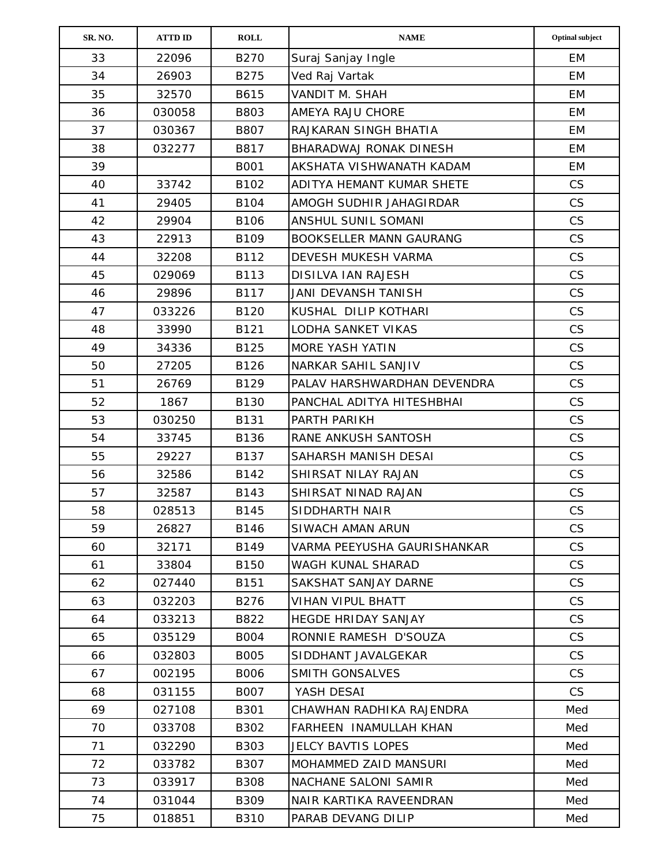| SR. NO. | <b>ATTD ID</b> | <b>ROLL</b> | $\mathbf{NAME}$                | <b>Optinal subject</b> |
|---------|----------------|-------------|--------------------------------|------------------------|
| 33      | 22096          | <b>B270</b> | Suraj Sanjay Ingle             | EM                     |
| 34      | 26903          | B275        | Ved Raj Vartak                 | EM                     |
| 35      | 32570          | B615        | VANDIT M. SHAH                 | EM                     |
| 36      | 030058         | B803        | AMEYA RAJU CHORE               | EM                     |
| 37      | 030367         | B807        | RAJKARAN SINGH BHATIA          | EM                     |
| 38      | 032277         | B817        | BHARADWAJ RONAK DINESH         | <b>EM</b>              |
| 39      |                | <b>B001</b> | AKSHATA VISHWANATH KADAM       | EM                     |
| 40      | 33742          | B102        | ADITYA HEMANT KUMAR SHETE      | <b>CS</b>              |
| 41      | 29405          | <b>B104</b> | AMOGH SUDHIR JAHAGIRDAR        | <b>CS</b>              |
| 42      | 29904          | B106        | ANSHUL SUNIL SOMANI            | CS                     |
| 43      | 22913          | B109        | <b>BOOKSELLER MANN GAURANG</b> | CS                     |
| 44      | 32208          | B112        | DEVESH MUKESH VARMA            | CS                     |
| 45      | 029069         | B113        | <b>DISILVA IAN RAJESH</b>      | <b>CS</b>              |
| 46      | 29896          | B117        | JANI DEVANSH TANISH            | CS                     |
| 47      | 033226         | B120        | KUSHAL DILIP KOTHARI           | <b>CS</b>              |
| 48      | 33990          | B121        | <b>LODHA SANKET VIKAS</b>      | CS                     |
| 49      | 34336          | B125        | MORE YASH YATIN                | CS                     |
| 50      | 27205          | B126        | NARKAR SAHIL SANJIV            | CS                     |
| 51      | 26769          | B129        | PALAV HARSHWARDHAN DEVENDRA    | <b>CS</b>              |
| 52      | 1867           | B130        | PANCHAL ADITYA HITESHBHAI      | CS                     |
| 53      | 030250         | B131        | PARTH PARIKH                   | CS                     |
| 54      | 33745          | B136        | RANE ANKUSH SANTOSH            | <b>CS</b>              |
| 55      | 29227          | B137        | SAHARSH MANISH DESAI           | <b>CS</b>              |
| 56      | 32586          | B142        | SHIRSAT NILAY RAJAN            | <b>CS</b>              |
| 57      | 32587          | B143        | SHIRSAT NINAD RAJAN            | CS                     |
| 58      | 028513         | <b>B145</b> | SIDDHARTH NAIR                 | CS                     |
| 59      | 26827          | B146        | SIWACH AMAN ARUN               | <b>CS</b>              |
| 60      | 32171          | B149        | VARMA PEEYUSHA GAURISHANKAR    | CS                     |
| 61      | 33804          | B150        | WAGH KUNAL SHARAD              | <b>CS</b>              |
| 62      | 027440         | B151        | SAKSHAT SANJAY DARNE           | <b>CS</b>              |
| 63      | 032203         | B276        | <b>VIHAN VIPUL BHATT</b>       | CS                     |
| 64      | 033213         | B822        | HEGDE HRIDAY SANJAY            | <b>CS</b>              |
| 65      | 035129         | <b>B004</b> | RONNIE RAMESH D'SOUZA          | CS                     |
| 66      | 032803         | <b>B005</b> | SIDDHANT JAVALGEKAR            | <b>CS</b>              |
| 67      | 002195         | <b>B006</b> | SMITH GONSALVES                | <b>CS</b>              |
| 68      | 031155         | <b>B007</b> | YASH DESAI                     | CS                     |
| 69      | 027108         | B301        | CHAWHAN RADHIKA RAJENDRA       | Med                    |
| 70      | 033708         | B302        | FARHEEN INAMULLAH KHAN         | Med                    |
| 71      | 032290         | B303        | JELCY BAVTIS LOPES             | Med                    |
| 72      | 033782         | B307        | MOHAMMED ZAID MANSURI          | Med                    |
| 73      | 033917         | <b>B308</b> | NACHANE SALONI SAMIR           | Med                    |
| 74      | 031044         | B309        | NAIR KARTIKA RAVEENDRAN        | Med                    |
| 75      | 018851         | <b>B310</b> | PARAB DEVANG DILIP             | Med                    |